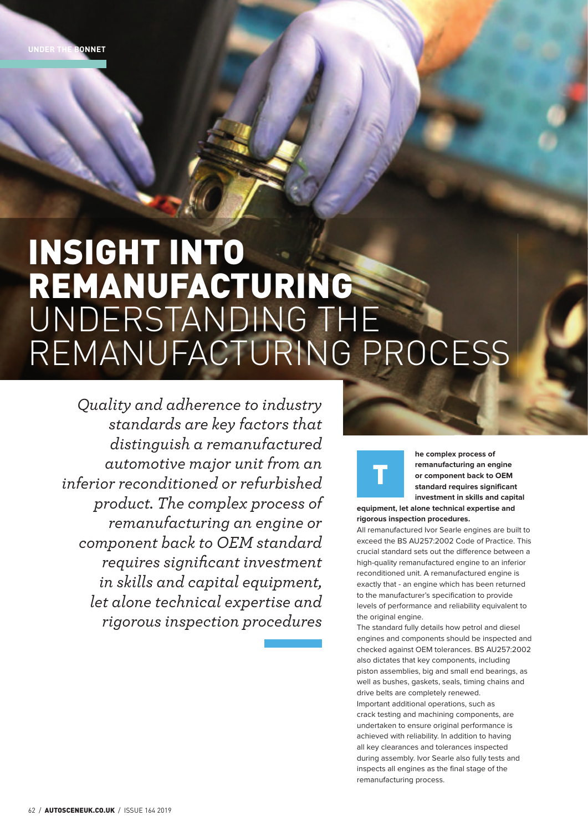## INSIGHT INTO REMANUFACTURING UNDERSTANDING THE REMANUFACTURING PROCESS

*Quality and adherence to industry standards are key factors that distinguish a remanufactured automotive major unit from an inferior reconditioned or refurbished product. The complex process of remanufacturing an engine or component back to OEM standard requires signifi cant investment in skills and capital equipment, let alone technical expertise and rigorous inspection procedures*



**he complex process of remanufacturing an engine or component back to OEM standard requires significant investment in skills and capital** 

**equipment, let alone technical expertise and rigorous inspection procedures.**

All remanufactured Ivor Searle engines are built to exceed the BS AU257:2002 Code of Practice. This crucial standard sets out the difference between a high-quality remanufactured engine to an inferior reconditioned unit. A remanufactured engine is exactly that - an engine which has been returned to the manufacturer's specification to provide levels of performance and reliability equivalent to the original engine.

The standard fully details how petrol and diesel engines and components should be inspected and checked against OEM tolerances. BS AU257:2002 also dictates that key components, including piston assemblies, big and small end bearings, as well as bushes, gaskets, seals, timing chains and drive belts are completely renewed. Important additional operations, such as crack testing and machining components, are undertaken to ensure original performance is achieved with reliability. In addition to having all key clearances and tolerances inspected during assembly. Ivor Searle also fully tests and inspects all engines as the final stage of the remanufacturing process.